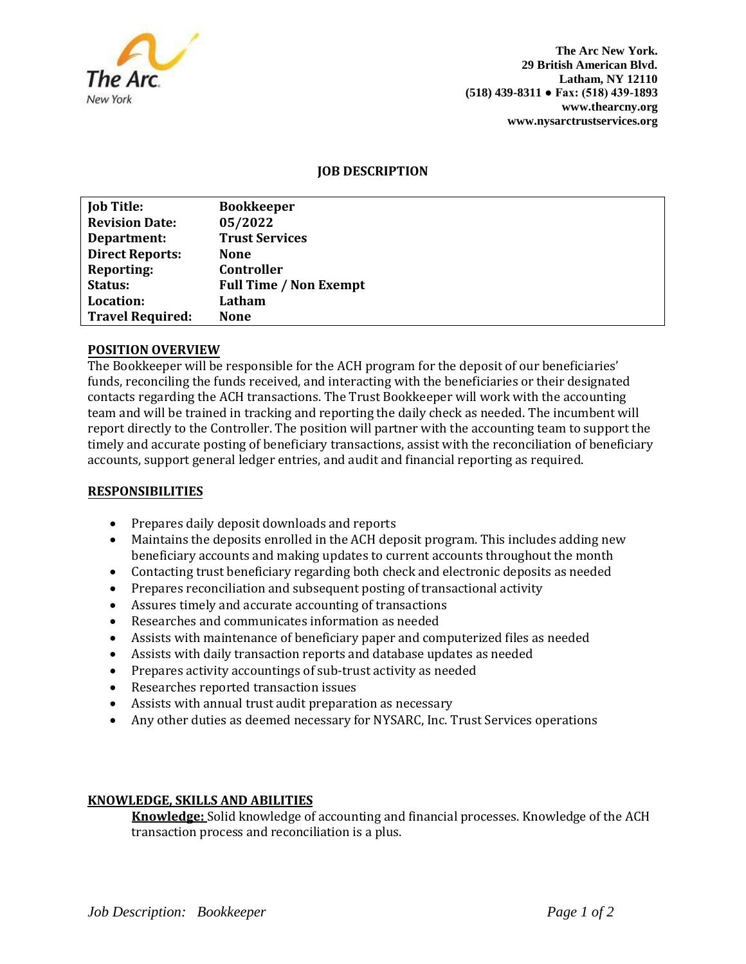

**The Arc New York. 29 British American Blvd. Latham, NY 12110 (518) 439-8311 ● Fax: (518) 439-1893 www.thearcny.org www.nysarctrustservices.org**

# **JOB DESCRIPTION**

| <b>Job Title:</b>       | <b>Bookkeeper</b>             |
|-------------------------|-------------------------------|
| <b>Revision Date:</b>   | 05/2022                       |
| Department:             | <b>Trust Services</b>         |
| <b>Direct Reports:</b>  | <b>None</b>                   |
| <b>Reporting:</b>       | Controller                    |
| Status:                 | <b>Full Time / Non Exempt</b> |
| Location:               | Latham                        |
| <b>Travel Required:</b> | <b>None</b>                   |
|                         |                               |

## **POSITION OVERVIEW**

The Bookkeeper will be responsible for the ACH program for the deposit of our beneficiaries' funds, reconciling the funds received, and interacting with the beneficiaries or their designated contacts regarding the ACH transactions. The Trust Bookkeeper will work with the accounting team and will be trained in tracking and reporting the daily check as needed. The incumbent will report directly to the Controller. The position will partner with the accounting team to support the timely and accurate posting of beneficiary transactions, assist with the reconciliation of beneficiary accounts, support general ledger entries, and audit and financial reporting as required.

## **RESPONSIBILITIES**

- Prepares daily deposit downloads and reports
- Maintains the deposits enrolled in the ACH deposit program. This includes adding new beneficiary accounts and making updates to current accounts throughout the month
- Contacting trust beneficiary regarding both check and electronic deposits as needed
- Prepares reconciliation and subsequent posting of transactional activity
- Assures timely and accurate accounting of transactions
- Researches and communicates information as needed
- Assists with maintenance of beneficiary paper and computerized files as needed
- Assists with daily transaction reports and database updates as needed
- Prepares activity accountings of sub-trust activity as needed
- Researches reported transaction issues
- Assists with annual trust audit preparation as necessary
- Any other duties as deemed necessary for NYSARC, Inc. Trust Services operations

## **KNOWLEDGE, SKILLS AND ABILITIES**

**Knowledge:** Solid knowledge of accounting and financial processes. Knowledge of the ACH transaction process and reconciliation is a plus.